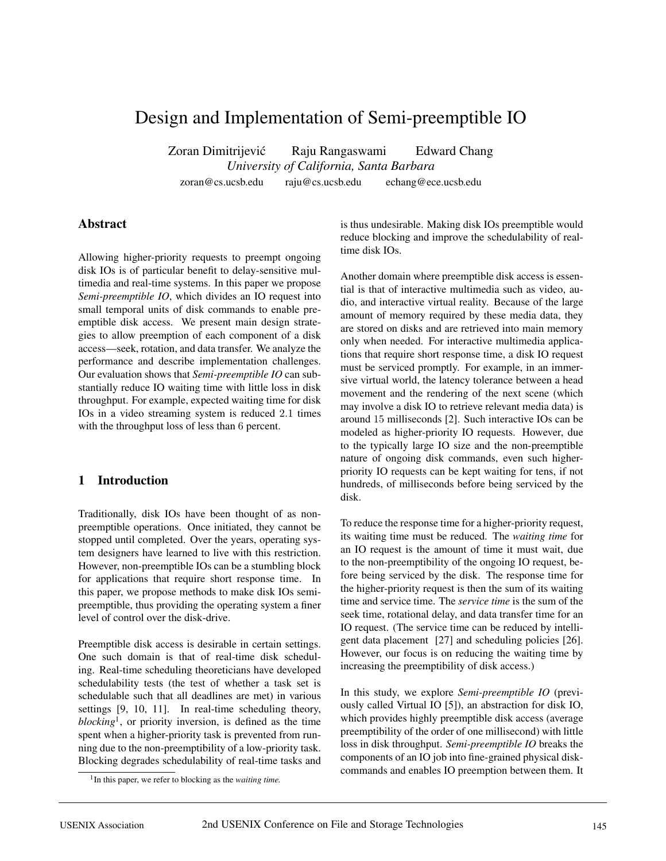# Design and Implementation of Semi-preemptible IO

Zoran Dimitrijević Raju Rangaswami Edward Chang *University of California, Santa Barbara* zoran@cs.ucsb.edu raju@cs.ucsb.edu echang@ece.ucsb.edu

### **Abstract**

Allowing higher-priority requests to preempt ongoing disk IOs is of particular benefit to delay-sensitive multimedia and real-time systems. In this paper we propose *Semi-preemptible IO*, which divides an IO request into small temporal units of disk commands to enable preemptible disk access. We present main design strategies to allow preemption of each component of a disk access—seek, rotation, and data transfer. We analyze the performance and describe implementation challenges. Our evaluation shows that *Semi-preemptible IO* can substantially reduce IO waiting time with little loss in disk throughput. For example, expected waiting time for disk IOs in a video streaming system is reduced 2.1 times with the throughput loss of less than 6 percent.

# **1 Introduction**

Traditionally, disk IOs have been thought of as nonpreemptible operations. Once initiated, they cannot be stopped until completed. Over the years, operating system designers have learned to live with this restriction. However, non-preemptible IOs can be a stumbling block for applications that require short response time. In this paper, we propose methods to make disk IOs semipreemptible, thus providing the operating system a finer level of control over the disk-drive.

Preemptible disk access is desirable in certain settings. One such domain is that of real-time disk scheduling. Real-time scheduling theoreticians have developed schedulability tests (the test of whether a task set is schedulable such that all deadlines are met) in various settings [9, 10, 11]. In real-time scheduling theory, *blocking*1, or priority inversion, is defined as the time spent when a higher-priority task is prevented from running due to the non-preemptibility of a low-priority task. Blocking degrades schedulability of real-time tasks and is thus undesirable. Making disk IOs preemptible would reduce blocking and improve the schedulability of realtime disk IOs.

Another domain where preemptible disk access is essential is that of interactive multimedia such as video, audio, and interactive virtual reality. Because of the large amount of memory required by these media data, they are stored on disks and are retrieved into main memory only when needed. For interactive multimedia applications that require short response time, a disk IO request must be serviced promptly. For example, in an immersive virtual world, the latency tolerance between a head movement and the rendering of the next scene (which may involve a disk IO to retrieve relevant media data) is around 15 milliseconds [2]. Such interactive IOs can be modeled as higher-priority IO requests. However, due to the typically large IO size and the non-preemptible nature of ongoing disk commands, even such higherpriority IO requests can be kept waiting for tens, if not hundreds, of milliseconds before being serviced by the disk.

To reduce the response time for a higher-priority request, its waiting time must be reduced. The *waiting time* for an IO request is the amount of time it must wait, due to the non-preemptibility of the ongoing IO request, before being serviced by the disk. The response time for the higher-priority request is then the sum of its waiting time and service time. The *service time* is the sum of the seek time, rotational delay, and data transfer time for an IO request. (The service time can be reduced by intelligent data placement [27] and scheduling policies [26]. However, our focus is on reducing the waiting time by increasing the preemptibility of disk access.)

In this study, we explore *Semi-preemptible IO* (previously called Virtual IO [5]), an abstraction for disk IO, which provides highly preemptible disk access (average preemptibility of the order of one millisecond) with little loss in disk throughput. *Semi-preemptible IO* breaks the components of an IO job into fine-grained physical diskcommands and enables IO preemption between them. It

<sup>&</sup>lt;sup>1</sup>In this paper, we refer to blocking as the *waiting time*.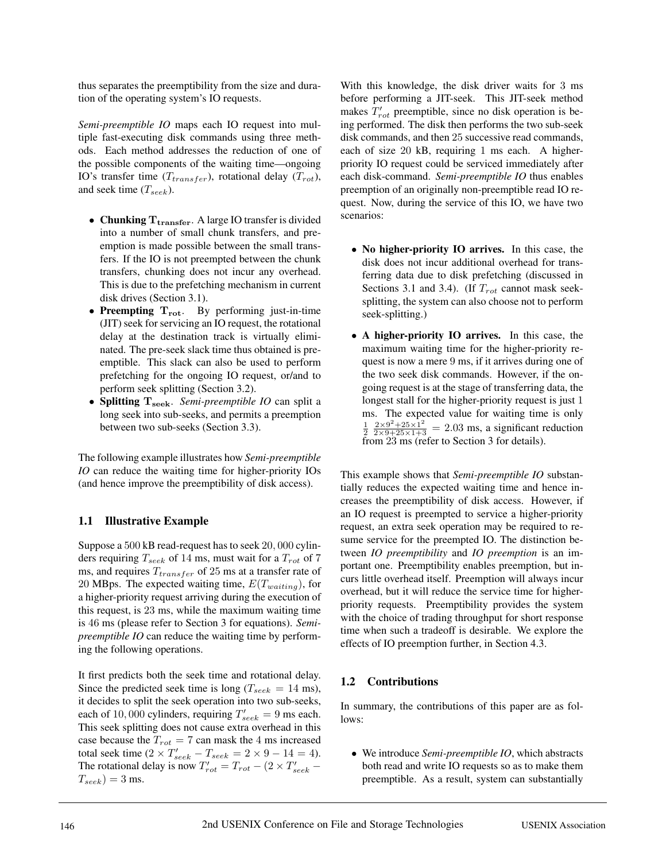thus separates the preemptibility from the size and duration of the operating system's IO requests.

*Semi-preemptible IO* maps each IO request into multiple fast-executing disk commands using three methods. Each method addresses the reduction of one of the possible components of the waiting time—ongoing IO's transfer time  $(T_{transfer})$ , rotational delay  $(T_{rot})$ , and seek time  $(T_{seek})$ .

- *•* **Chunking Ttransfer**. A large IO transfer is divided into a number of small chunk transfers, and preemption is made possible between the small transfers. If the IO is not preempted between the chunk transfers, chunking does not incur any overhead. This is due to the prefetching mechanism in current disk drives (Section 3.1).
- *•* **Preempting Trot**. By performing just-in-time (JIT) seek for servicing an IO request, the rotational delay at the destination track is virtually eliminated. The pre-seek slack time thus obtained is preemptible. This slack can also be used to perform prefetching for the ongoing IO request, or/and to perform seek splitting (Section 3.2).
- *•* **Splitting Tseek**. *Semi-preemptible IO* can split a long seek into sub-seeks, and permits a preemption between two sub-seeks (Section 3.3).

The following example illustrates how *Semi-preemptible IO* can reduce the waiting time for higher-priority IOs (and hence improve the preemptibility of disk access).

### **1.1 Illustrative Example**

Suppose a 500 kB read-request has to seek 20, 000 cylinders requiring  $T_{seek}$  of 14 ms, must wait for a  $T_{rot}$  of 7 ms, and requires  $T_{transfer}$  of 25 ms at a transfer rate of 20 MBps. The expected waiting time,  $E(T_{waiting})$ , for a higher-priority request arriving during the execution of this request, is 23 ms, while the maximum waiting time is 46 ms (please refer to Section 3 for equations). *Semipreemptible IO* can reduce the waiting time by performing the following operations.

It first predicts both the seek time and rotational delay. Since the predicted seek time is long ( $T_{seek} = 14$  ms), it decides to split the seek operation into two sub-seeks, each of 10,000 cylinders, requiring  $T'_{seek} = 9$  ms each. This seek splitting does not cause extra overhead in this case because the  $T_{rot} = 7$  can mask the 4 ms increased total seek time  $(2 \times T'_{seek} - T_{seek} = 2 \times 9 - 14 = 4)$ . The rotational delay is now  $T'_{rot} = T_{rot} - (2 \times T'_{seek} T_{seek})=3$  ms.

With this knowledge, the disk driver waits for 3 ms before performing a JIT-seek. This JIT-seek method makes  $T'_{rot}$  preemptible, since no disk operation is being performed. The disk then performs the two sub-seek disk commands, and then 25 successive read commands, each of size 20 kB, requiring 1 ms each. A higherpriority IO request could be serviced immediately after each disk-command. *Semi-preemptible IO* thus enables preemption of an originally non-preemptible read IO request. Now, during the service of this IO, we have two scenarios:

- *•* **No higher-priority IO arrives.** In this case, the disk does not incur additional overhead for transferring data due to disk prefetching (discussed in Sections 3.1 and 3.4). (If  $T_{rot}$  cannot mask seeksplitting, the system can also choose not to perform seek-splitting.)
- *•* **A higher-priority IO arrives.** In this case, the maximum waiting time for the higher-priority request is now a mere 9 ms, if it arrives during one of the two seek disk commands. However, if the ongoing request is at the stage of transferring data, the longest stall for the higher-priority request is just 1 ms. The expected value for waiting time is only  $\frac{1}{2} \frac{2 \times 9^2 + 25 \times 1^2}{2 \times 9 + 25 \times 1 + 3} = 2.03$  ms, a significant reduction from 23 ms (refer to Section 3 for details).

This example shows that *Semi-preemptible IO* substantially reduces the expected waiting time and hence increases the preemptibility of disk access. However, if an IO request is preempted to service a higher-priority request, an extra seek operation may be required to resume service for the preempted IO. The distinction between *IO preemptibility* and *IO preemption* is an important one. Preemptibility enables preemption, but incurs little overhead itself. Preemption will always incur overhead, but it will reduce the service time for higherpriority requests. Preemptibility provides the system with the choice of trading throughput for short response time when such a tradeoff is desirable. We explore the effects of IO preemption further, in Section 4.3.

### **1.2 Contributions**

In summary, the contributions of this paper are as follows:

*•* We introduce *Semi-preemptible IO*, which abstracts both read and write IO requests so as to make them preemptible. As a result, system can substantially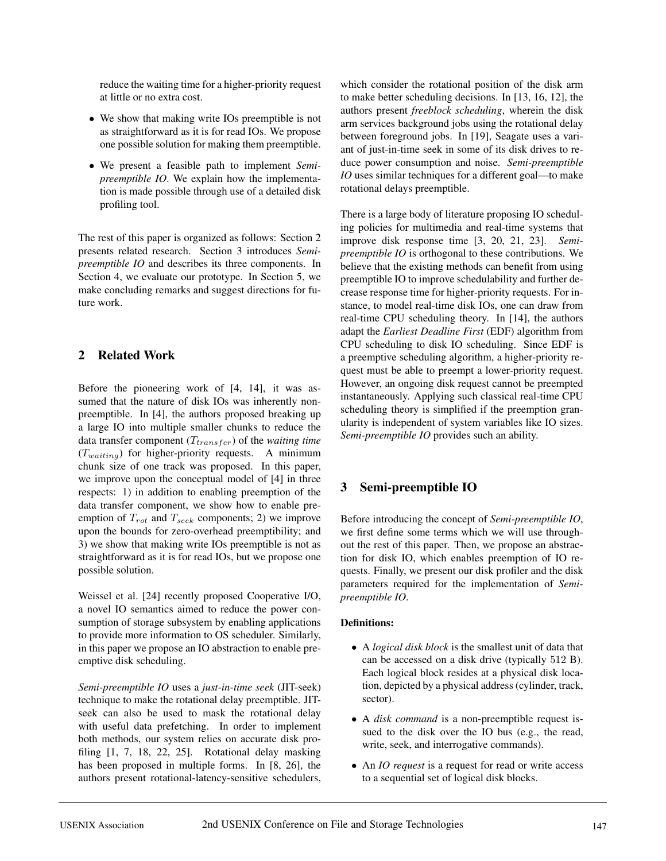reduce the waiting time for a higher-priority request at little or no extra cost.

- *•* We show that making write IOs preemptible is not as straightforward as it is for read IOs. We propose one possible solution for making them preemptible.
- *•* We present a feasible path to implement *Semipreemptible IO*. We explain how the implementation is made possible through use of a detailed disk profiling tool.

The rest of this paper is organized as follows: Section 2 presents related research. Section 3 introduces *Semipreemptible IO* and describes its three components. In Section 4, we evaluate our prototype. In Section 5, we make concluding remarks and suggest directions for future work.

# **2 Related Work**

Before the pioneering work of [4, 14], it was assumed that the nature of disk IOs was inherently nonpreemptible. In [4], the authors proposed breaking up a large IO into multiple smaller chunks to reduce the data transfer component  $(T_{transfer})$  of the *waiting time*  $(T_{waiting})$  for higher-priority requests. A minimum chunk size of one track was proposed. In this paper, we improve upon the conceptual model of [4] in three respects: 1) in addition to enabling preemption of the data transfer component, we show how to enable preemption of  $T_{rot}$  and  $T_{seek}$  components; 2) we improve upon the bounds for zero-overhead preemptibility; and 3) we show that making write IOs preemptible is not as straightforward as it is for read IOs, but we propose one possible solution.

Weissel et al. [24] recently proposed Cooperative I/O, a novel IO semantics aimed to reduce the power consumption of storage subsystem by enabling applications to provide more information to OS scheduler. Similarly, in this paper we propose an IO abstraction to enable preemptive disk scheduling.

*Semi-preemptible IO* uses a *just-in-time seek* (JIT-seek) technique to make the rotational delay preemptible. JITseek can also be used to mask the rotational delay with useful data prefetching. In order to implement both methods, our system relies on accurate disk profiling [1, 7, 18, 22, 25]. Rotational delay masking has been proposed in multiple forms. In [8, 26], the authors present rotational-latency-sensitive schedulers, which consider the rotational position of the disk arm to make better scheduling decisions. In [13, 16, 12], the authors present *freeblock scheduling*, wherein the disk arm services background jobs using the rotational delay between foreground jobs. In [19], Seagate uses a variant of just-in-time seek in some of its disk drives to reduce power consumption and noise. *Semi-preemptible IO* uses similar techniques for a different goal—to make rotational delays preemptible.

There is a large body of literature proposing IO scheduling policies for multimedia and real-time systems that improve disk response time [3, 20, 21, 23]. *Semipreemptible IO* is orthogonal to these contributions. We believe that the existing methods can benefit from using preemptible IO to improve schedulability and further decrease response time for higher-priority requests. For instance, to model real-time disk IOs, one can draw from real-time CPU scheduling theory. In [14], the authors adapt the *Earliest Deadline First* (EDF) algorithm from CPU scheduling to disk IO scheduling. Since EDF is a preemptive scheduling algorithm, a higher-priority request must be able to preempt a lower-priority request. However, an ongoing disk request cannot be preempted instantaneously. Applying such classical real-time CPU scheduling theory is simplified if the preemption granularity is independent of system variables like IO sizes. *Semi-preemptible IO* provides such an ability.

# **3 Semi-preemptible IO**

Before introducing the concept of *Semi-preemptible IO*, we first define some terms which we will use throughout the rest of this paper. Then, we propose an abstraction for disk IO, which enables preemption of IO requests. Finally, we present our disk profiler and the disk parameters required for the implementation of *Semipreemptible IO*.

### **Definitions:**

- *•* A *logical disk block* is the smallest unit of data that can be accessed on a disk drive (typically 512 B). Each logical block resides at a physical disk location, depicted by a physical address (cylinder, track, sector).
- *•* A *disk command* is a non-preemptible request issued to the disk over the IO bus (e.g., the read, write, seek, and interrogative commands).
- *•* An *IO request* is a request for read or write access to a sequential set of logical disk blocks.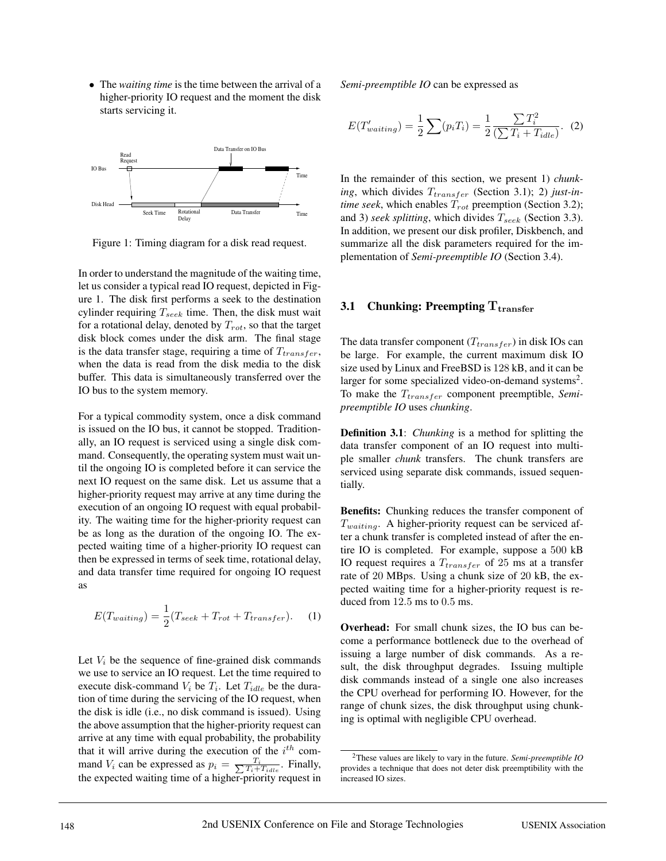*•* The *waiting time* is the time between the arrival of a higher-priority IO request and the moment the disk starts servicing it.



Figure 1: Timing diagram for a disk read request.

In order to understand the magnitude of the waiting time, let us consider a typical read IO request, depicted in Figure 1. The disk first performs a seek to the destination cylinder requiring  $T_{seek}$  time. Then, the disk must wait for a rotational delay, denoted by  $T_{rot}$ , so that the target disk block comes under the disk arm. The final stage is the data transfer stage, requiring a time of  $T_{transfer}$ , when the data is read from the disk media to the disk buffer. This data is simultaneously transferred over the IO bus to the system memory.

For a typical commodity system, once a disk command is issued on the IO bus, it cannot be stopped. Traditionally, an IO request is serviced using a single disk command. Consequently, the operating system must wait until the ongoing IO is completed before it can service the next IO request on the same disk. Let us assume that a higher-priority request may arrive at any time during the execution of an ongoing IO request with equal probability. The waiting time for the higher-priority request can be as long as the duration of the ongoing IO. The expected waiting time of a higher-priority IO request can then be expressed in terms of seek time, rotational delay, and data transfer time required for ongoing IO request as

$$
E(T_{waiting}) = \frac{1}{2}(T_{seek} + T_{rot} + T_{transfer}).
$$
 (1)

Let  $V_i$  be the sequence of fine-grained disk commands we use to service an IO request. Let the time required to execute disk-command  $V_i$  be  $T_i$ . Let  $T_{idle}$  be the duration of time during the servicing of the IO request, when the disk is idle (i.e., no disk command is issued). Using the above assumption that the higher-priority request can arrive at any time with equal probability, the probability that it will arrive during the execution of the  $i^{th}$  command  $V_i$  can be expressed as  $p_i = \frac{T_i}{\sum T_i + T_{idle}}$ . Finally, the expected waiting time of a higher-priority request in

*Semi-preemptible IO* can be expressed as

$$
E(T'_{waiting}) = \frac{1}{2} \sum (p_i T_i) = \frac{1}{2} \frac{\sum T_i^2}{(\sum T_i + T_{idle})}. \tag{2}
$$

In the remainder of this section, we present 1) *chunk*ing, which divides  $T_{transfer}$  (Section 3.1); 2) just-in*time seek*, which enables  $T_{rot}$  preemption (Section 3.2); and 3) *seek splitting*, which divides  $T_{seek}$  (Section 3.3). In addition, we present our disk profiler, Diskbench, and summarize all the disk parameters required for the implementation of *Semi-preemptible IO* (Section 3.4).

### **3.1 Chunking: Preempting Ttransfer**

The data transfer component ( $T_{transfer}$ ) in disk IOs can be large. For example, the current maximum disk IO size used by Linux and FreeBSD is 128 kB, and it can be larger for some specialized video-on-demand systems<sup>2</sup>. To make the  $T_{transfer}$  component preemptible, *Semipreemptible IO* uses *chunking*.

**Definition 3.1**: *Chunking* is a method for splitting the data transfer component of an IO request into multiple smaller *chunk* transfers. The chunk transfers are serviced using separate disk commands, issued sequentially.

**Benefits:** Chunking reduces the transfer component of  $T_{waiting}$ . A higher-priority request can be serviced after a chunk transfer is completed instead of after the entire IO is completed. For example, suppose a 500 kB IO request requires a  $T_{transfer}$  of 25 ms at a transfer rate of 20 MBps. Using a chunk size of 20 kB, the expected waiting time for a higher-priority request is reduced from 12.5 ms to 0.5 ms.

**Overhead:** For small chunk sizes, the IO bus can become a performance bottleneck due to the overhead of issuing a large number of disk commands. As a result, the disk throughput degrades. Issuing multiple disk commands instead of a single one also increases the CPU overhead for performing IO. However, for the range of chunk sizes, the disk throughput using chunking is optimal with negligible CPU overhead.

<sup>2</sup>These values are likely to vary in the future. *Semi-preemptible IO* provides a technique that does not deter disk preemptibility with the increased IO sizes.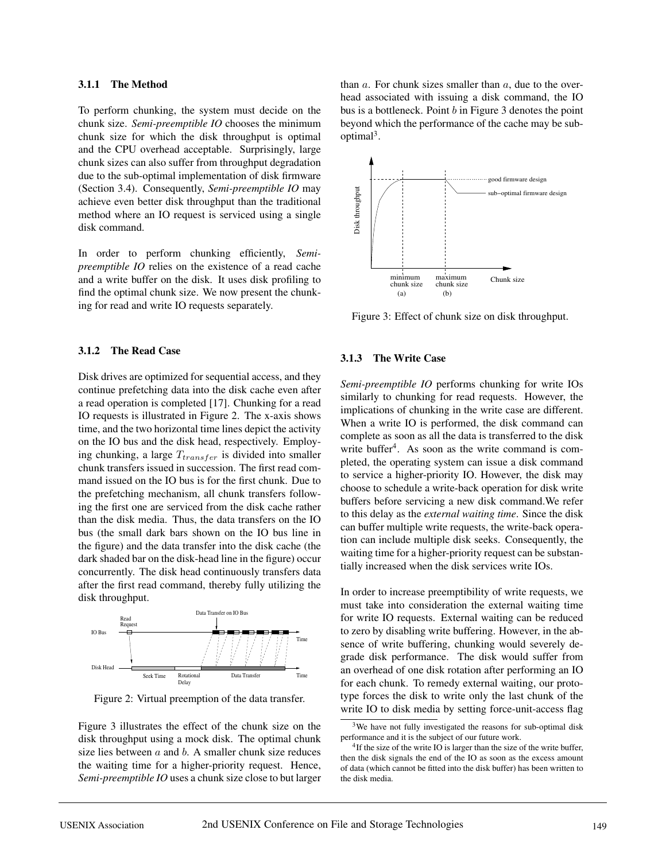### **3.1.1 The Method**

To perform chunking, the system must decide on the chunk size. *Semi-preemptible IO* chooses the minimum chunk size for which the disk throughput is optimal and the CPU overhead acceptable. Surprisingly, large chunk sizes can also suffer from throughput degradation due to the sub-optimal implementation of disk firmware (Section 3.4). Consequently, *Semi-preemptible IO* may achieve even better disk throughput than the traditional method where an IO request is serviced using a single disk command.

In order to perform chunking efficiently, *Semipreemptible IO* relies on the existence of a read cache and a write buffer on the disk. It uses disk profiling to find the optimal chunk size. We now present the chunking for read and write IO requests separately.

#### **3.1.2 The Read Case**

Disk drives are optimized for sequential access, and they continue prefetching data into the disk cache even after a read operation is completed [17]. Chunking for a read IO requests is illustrated in Figure 2. The x-axis shows time, and the two horizontal time lines depict the activity on the IO bus and the disk head, respectively. Employing chunking, a large  $T_{transfer}$  is divided into smaller chunk transfers issued in succession. The first read command issued on the IO bus is for the first chunk. Due to the prefetching mechanism, all chunk transfers following the first one are serviced from the disk cache rather than the disk media. Thus, the data transfers on the IO bus (the small dark bars shown on the IO bus line in the figure) and the data transfer into the disk cache (the dark shaded bar on the disk-head line in the figure) occur concurrently. The disk head continuously transfers data after the first read command, thereby fully utilizing the disk throughput.



Figure 2: Virtual preemption of the data transfer.

Figure 3 illustrates the effect of the chunk size on the disk throughput using a mock disk. The optimal chunk size lies between  $a$  and  $b$ . A smaller chunk size reduces the waiting time for a higher-priority request. Hence, *Semi-preemptible IO* uses a chunk size close to but larger than  $a$ . For chunk sizes smaller than  $a$ , due to the overhead associated with issuing a disk command, the IO bus is a bottleneck. Point  $b$  in Figure 3 denotes the point beyond which the performance of the cache may be suboptimal<sup>3</sup>.



Figure 3: Effect of chunk size on disk throughput.

#### **3.1.3 The Write Case**

*Semi-preemptible IO* performs chunking for write IOs similarly to chunking for read requests. However, the implications of chunking in the write case are different. When a write IO is performed, the disk command can complete as soon as all the data is transferred to the disk write buffer<sup>4</sup>. As soon as the write command is completed, the operating system can issue a disk command to service a higher-priority IO. However, the disk may choose to schedule a write-back operation for disk write buffers before servicing a new disk command.We refer to this delay as the *external waiting time*. Since the disk can buffer multiple write requests, the write-back operation can include multiple disk seeks. Consequently, the waiting time for a higher-priority request can be substantially increased when the disk services write IOs.

In order to increase preemptibility of write requests, we must take into consideration the external waiting time for write IO requests. External waiting can be reduced to zero by disabling write buffering. However, in the absence of write buffering, chunking would severely degrade disk performance. The disk would suffer from an overhead of one disk rotation after performing an IO for each chunk. To remedy external waiting, our prototype forces the disk to write only the last chunk of the write IO to disk media by setting force-unit-access flag

<sup>&</sup>lt;sup>3</sup>We have not fully investigated the reasons for sub-optimal disk performance and it is the subject of our future work.

<sup>&</sup>lt;sup>4</sup>If the size of the write IO is larger than the size of the write buffer, then the disk signals the end of the IO as soon as the excess amount of data (which cannot be fitted into the disk buffer) has been written to the disk media.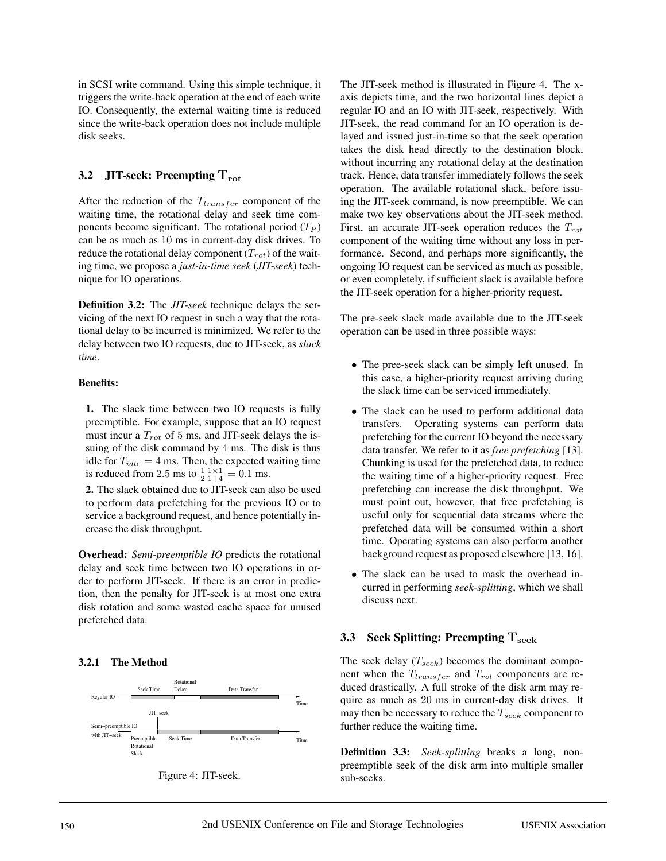in SCSI write command. Using this simple technique, it triggers the write-back operation at the end of each write IO. Consequently, the external waiting time is reduced since the write-back operation does not include multiple disk seeks.

# **3.2 JIT-seek: Preempting Trot**

After the reduction of the  $T_{transfer}$  component of the waiting time, the rotational delay and seek time components become significant. The rotational period  $(T_P)$ can be as much as 10 ms in current-day disk drives. To reduce the rotational delay component  $(T_{rot})$  of the waiting time, we propose a *just-in-time seek* (*JIT-seek*) technique for IO operations.

**Definition 3.2:** The *JIT-seek* technique delays the servicing of the next IO request in such a way that the rotational delay to be incurred is minimized. We refer to the delay between two IO requests, due to JIT-seek, as *slack time*.

### **Benefits:**

**1.** The slack time between two IO requests is fully preemptible. For example, suppose that an IO request must incur a  $T_{rot}$  of 5 ms, and JIT-seek delays the issuing of the disk command by 4 ms. The disk is thus idle for  $T_{idle} = 4$  ms. Then, the expected waiting time is reduced from 2.5 ms to  $\frac{1}{2} \frac{1 \times 1}{1+4} = 0.1$  ms.

**2.** The slack obtained due to JIT-seek can also be used to perform data prefetching for the previous IO or to service a background request, and hence potentially increase the disk throughput.

**Overhead:** *Semi-preemptible IO* predicts the rotational delay and seek time between two IO operations in order to perform JIT-seek. If there is an error in prediction, then the penalty for JIT-seek is at most one extra disk rotation and some wasted cache space for unused prefetched data.

### **3.2.1 The Method**





The JIT-seek method is illustrated in Figure 4. The xaxis depicts time, and the two horizontal lines depict a regular IO and an IO with JIT-seek, respectively. With JIT-seek, the read command for an IO operation is delayed and issued just-in-time so that the seek operation takes the disk head directly to the destination block, without incurring any rotational delay at the destination track. Hence, data transfer immediately follows the seek operation. The available rotational slack, before issuing the JIT-seek command, is now preemptible. We can make two key observations about the JIT-seek method. First, an accurate JIT-seek operation reduces the  $T_{rot}$ component of the waiting time without any loss in performance. Second, and perhaps more significantly, the ongoing IO request can be serviced as much as possible, or even completely, if sufficient slack is available before the JIT-seek operation for a higher-priority request.

The pre-seek slack made available due to the JIT-seek operation can be used in three possible ways:

- *•* The pree-seek slack can be simply left unused. In this case, a higher-priority request arriving during the slack time can be serviced immediately.
- The slack can be used to perform additional data transfers. Operating systems can perform data Operating systems can perform data prefetching for the current IO beyond the necessary data transfer. We refer to it as *free prefetching* [13]. Chunking is used for the prefetched data, to reduce the waiting time of a higher-priority request. Free prefetching can increase the disk throughput. We must point out, however, that free prefetching is useful only for sequential data streams where the prefetched data will be consumed within a short time. Operating systems can also perform another background request as proposed elsewhere [13, 16].
- *•* The slack can be used to mask the overhead incurred in performing *seek-splitting*, which we shall discuss next.

# **3.3 Seek Splitting: Preempting Tseek**

The seek delay  $(T_{seek})$  becomes the dominant component when the  $T_{transfer}$  and  $T_{rot}$  components are reduced drastically. A full stroke of the disk arm may require as much as 20 ms in current-day disk drives. It may then be necessary to reduce the  $T_{seek}$  component to further reduce the waiting time.

**Definition 3.3:** *Seek-splitting* breaks a long, nonpreemptible seek of the disk arm into multiple smaller sub-seeks.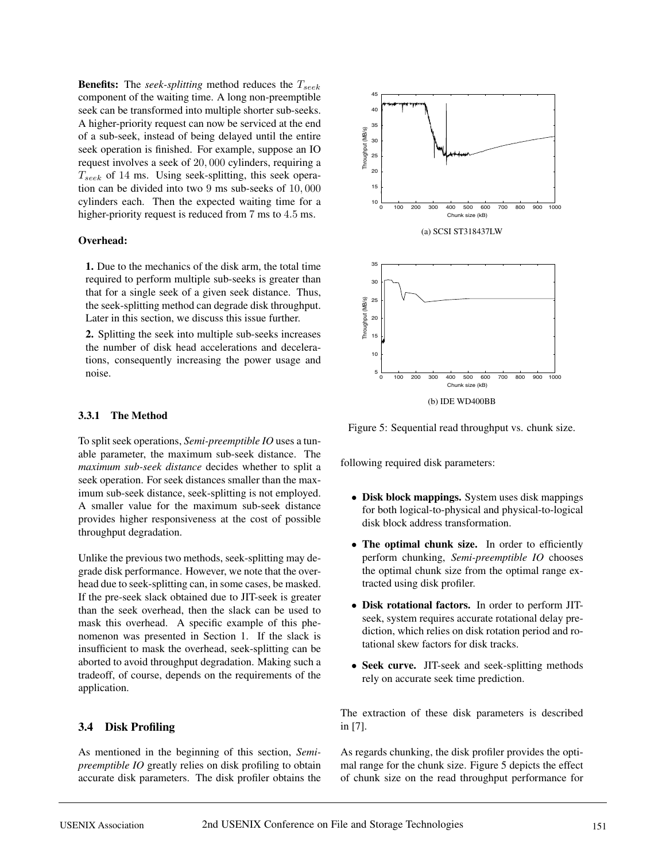**Benefits:** The *seek-splitting* method reduces the  $T_{seek}$ component of the waiting time. A long non-preemptible seek can be transformed into multiple shorter sub-seeks. A higher-priority request can now be serviced at the end of a sub-seek, instead of being delayed until the entire seek operation is finished. For example, suppose an IO request involves a seek of 20, 000 cylinders, requiring a  $T_{seek}$  of 14 ms. Using seek-splitting, this seek operation can be divided into two 9 ms sub-seeks of 10, 000 cylinders each. Then the expected waiting time for a higher-priority request is reduced from 7 ms to 4.5 ms.

### **Overhead:**

**1.** Due to the mechanics of the disk arm, the total time required to perform multiple sub-seeks is greater than that for a single seek of a given seek distance. Thus, the seek-splitting method can degrade disk throughput. Later in this section, we discuss this issue further.

**2.** Splitting the seek into multiple sub-seeks increases the number of disk head accelerations and decelerations, consequently increasing the power usage and noise.

#### **3.3.1 The Method**

To split seek operations, *Semi-preemptible IO* uses a tunable parameter, the maximum sub-seek distance. The *maximum sub-seek distance* decides whether to split a seek operation. For seek distances smaller than the maximum sub-seek distance, seek-splitting is not employed. A smaller value for the maximum sub-seek distance provides higher responsiveness at the cost of possible throughput degradation.

Unlike the previous two methods, seek-splitting may degrade disk performance. However, we note that the overhead due to seek-splitting can, in some cases, be masked. If the pre-seek slack obtained due to JIT-seek is greater than the seek overhead, then the slack can be used to mask this overhead. A specific example of this phenomenon was presented in Section 1. If the slack is insufficient to mask the overhead, seek-splitting can be aborted to avoid throughput degradation. Making such a tradeoff, of course, depends on the requirements of the application.

### **3.4 Disk Profiling**

As mentioned in the beginning of this section, *Semipreemptible IO* greatly relies on disk profiling to obtain accurate disk parameters. The disk profiler obtains the



Figure 5: Sequential read throughput vs. chunk size.

following required disk parameters:

- *•* **Disk block mappings.** System uses disk mappings for both logical-to-physical and physical-to-logical disk block address transformation.
- *•* **The optimal chunk size.** In order to efficiently perform chunking, *Semi-preemptible IO* chooses the optimal chunk size from the optimal range extracted using disk profiler.
- *•* **Disk rotational factors.** In order to perform JITseek, system requires accurate rotational delay prediction, which relies on disk rotation period and rotational skew factors for disk tracks.
- *•* **Seek curve.** JIT-seek and seek-splitting methods rely on accurate seek time prediction.

The extraction of these disk parameters is described in [7].

As regards chunking, the disk profiler provides the optimal range for the chunk size. Figure 5 depicts the effect of chunk size on the read throughput performance for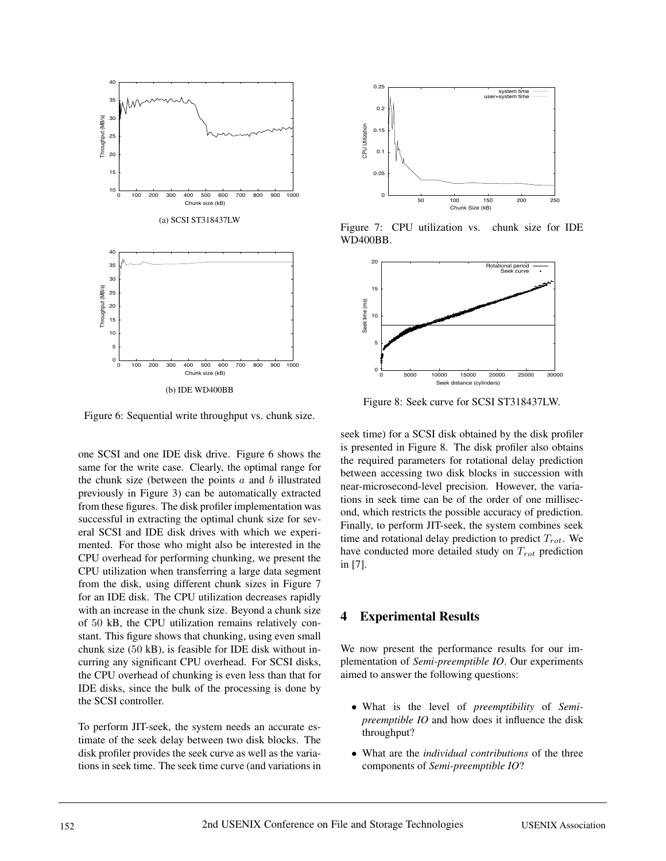

Figure 6: Sequential write throughput vs. chunk size.

one SCSI and one IDE disk drive. Figure 6 shows the same for the write case. Clearly, the optimal range for the chunk size (between the points  $a$  and  $b$  illustrated previously in Figure 3) can be automatically extracted from these figures. The disk profiler implementation was successful in extracting the optimal chunk size for several SCSI and IDE disk drives with which we experimented. For those who might also be interested in the CPU overhead for performing chunking, we present the CPU utilization when transferring a large data segment from the disk, using different chunk sizes in Figure 7 for an IDE disk. The CPU utilization decreases rapidly with an increase in the chunk size. Beyond a chunk size of 50 kB, the CPU utilization remains relatively constant. This figure shows that chunking, using even small chunk size (50 kB), is feasible for IDE disk without incurring any significant CPU overhead. For SCSI disks, the CPU overhead of chunking is even less than that for IDE disks, since the bulk of the processing is done by the SCSI controller.

To perform JIT-seek, the system needs an accurate estimate of the seek delay between two disk blocks. The disk profiler provides the seek curve as well as the variations in seek time. The seek time curve (and variations in



Figure 7: CPU utilization vs. chunk size for IDE WD400BB.



Figure 8: Seek curve for SCSI ST318437LW.

seek time) for a SCSI disk obtained by the disk profiler is presented in Figure 8. The disk profiler also obtains the required parameters for rotational delay prediction between accessing two disk blocks in succession with near-microsecond-level precision. However, the variations in seek time can be of the order of one millisecond, which restricts the possible accuracy of prediction. Finally, to perform JIT-seek, the system combines seek time and rotational delay prediction to predict  $T_{rot}$ . We have conducted more detailed study on  $T_{rot}$  prediction in [7].

### **4 Experimental Results**

We now present the performance results for our implementation of *Semi-preemptible IO*. Our experiments aimed to answer the following questions:

- *•* What is the level of *preemptibility* of *Semipreemptible IO* and how does it influence the disk throughput?
- *•* What are the *individual contributions* of the three components of *Semi-preemptible IO*?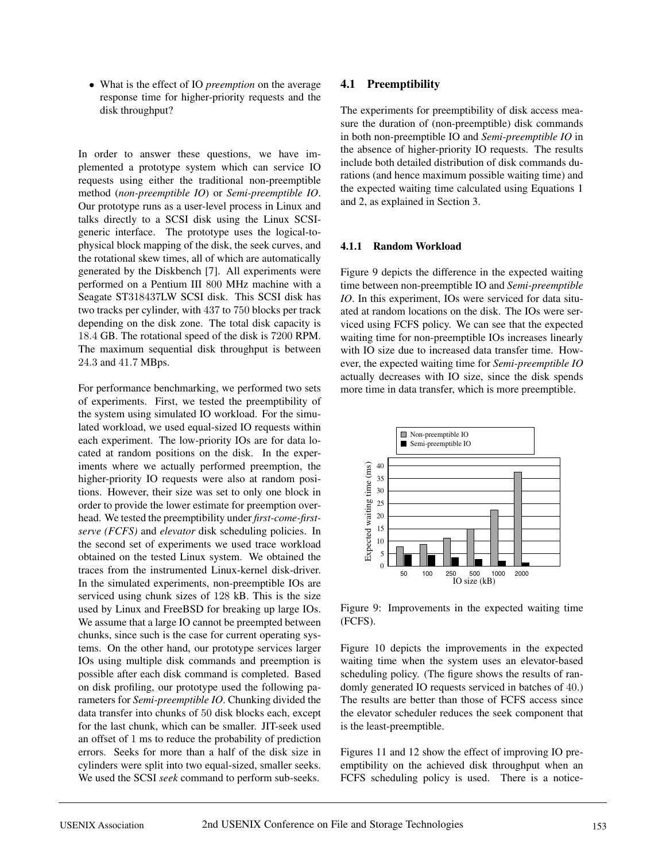*•* What is the effect of IO *preemption* on the average response time for higher-priority requests and the disk throughput?

In order to answer these questions, we have implemented a prototype system which can service IO requests using either the traditional non-preemptible method (*non-preemptible IO*) or *Semi-preemptible IO*. Our prototype runs as a user-level process in Linux and talks directly to a SCSI disk using the Linux SCSIgeneric interface. The prototype uses the logical-tophysical block mapping of the disk, the seek curves, and the rotational skew times, all of which are automatically generated by the Diskbench [7]. All experiments were performed on a Pentium III 800 MHz machine with a Seagate ST318437LW SCSI disk. This SCSI disk has two tracks per cylinder, with 437 to 750 blocks per track depending on the disk zone. The total disk capacity is 18.4 GB. The rotational speed of the disk is 7200 RPM. The maximum sequential disk throughput is between 24.3 and 41.7 MBps.

For performance benchmarking, we performed two sets of experiments. First, we tested the preemptibility of the system using simulated IO workload. For the simulated workload, we used equal-sized IO requests within each experiment. The low-priority IOs are for data located at random positions on the disk. In the experiments where we actually performed preemption, the higher-priority IO requests were also at random positions. However, their size was set to only one block in order to provide the lower estimate for preemption overhead. We tested the preemptibility under *first-come-firstserve (FCFS)* and *elevator* disk scheduling policies. In the second set of experiments we used trace workload obtained on the tested Linux system. We obtained the traces from the instrumented Linux-kernel disk-driver. In the simulated experiments, non-preemptible IOs are serviced using chunk sizes of 128 kB. This is the size used by Linux and FreeBSD for breaking up large IOs. We assume that a large IO cannot be preempted between chunks, since such is the case for current operating systems. On the other hand, our prototype services larger IOs using multiple disk commands and preemption is possible after each disk command is completed. Based on disk profiling, our prototype used the following parameters for *Semi-preemptible IO*. Chunking divided the data transfer into chunks of 50 disk blocks each, except for the last chunk, which can be smaller. JIT-seek used an offset of 1 ms to reduce the probability of prediction errors. Seeks for more than a half of the disk size in cylinders were split into two equal-sized, smaller seeks. We used the SCSI *seek* command to perform sub-seeks.

### **4.1 Preemptibility**

The experiments for preemptibility of disk access measure the duration of (non-preemptible) disk commands in both non-preemptible IO and *Semi-preemptible IO* in the absence of higher-priority IO requests. The results include both detailed distribution of disk commands durations (and hence maximum possible waiting time) and the expected waiting time calculated using Equations 1 and 2, as explained in Section 3.

### **4.1.1 Random Workload**

Figure 9 depicts the difference in the expected waiting time between non-preemptible IO and *Semi-preemptible IO*. In this experiment, IOs were serviced for data situated at random locations on the disk. The IOs were serviced using FCFS policy. We can see that the expected waiting time for non-preemptible IOs increases linearly with IO size due to increased data transfer time. However, the expected waiting time for *Semi-preemptible IO* actually decreases with IO size, since the disk spends more time in data transfer, which is more preemptible.



Figure 9: Improvements in the expected waiting time (FCFS).

Figure 10 depicts the improvements in the expected waiting time when the system uses an elevator-based scheduling policy. (The figure shows the results of randomly generated IO requests serviced in batches of 40.) The results are better than those of FCFS access since the elevator scheduler reduces the seek component that is the least-preemptible.

Figures 11 and 12 show the effect of improving IO preemptibility on the achieved disk throughput when an FCFS scheduling policy is used. There is a notice-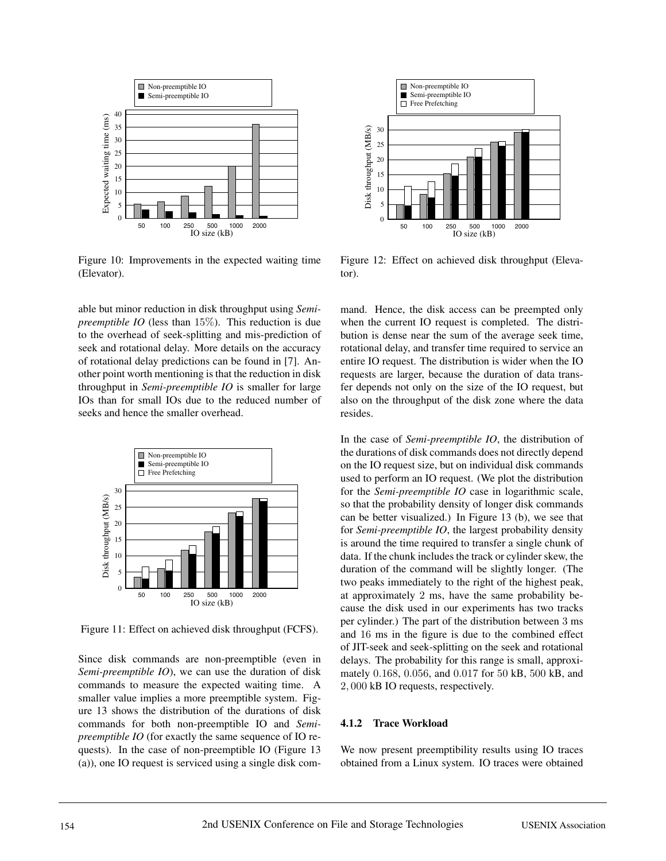

Figure 10: Improvements in the expected waiting time (Elevator).

able but minor reduction in disk throughput using *Semipreemptible IO* (less than 15%). This reduction is due to the overhead of seek-splitting and mis-prediction of seek and rotational delay. More details on the accuracy of rotational delay predictions can be found in [7]. Another point worth mentioning is that the reduction in disk throughput in *Semi-preemptible IO* is smaller for large IOs than for small IOs due to the reduced number of seeks and hence the smaller overhead.



Figure 11: Effect on achieved disk throughput (FCFS).

Since disk commands are non-preemptible (even in *Semi-preemptible IO*), we can use the duration of disk commands to measure the expected waiting time. A smaller value implies a more preemptible system. Figure 13 shows the distribution of the durations of disk commands for both non-preemptible IO and *Semipreemptible IO* (for exactly the same sequence of IO requests). In the case of non-preemptible IO (Figure 13 (a)), one IO request is serviced using a single disk com-



Figure 12: Effect on achieved disk throughput (Elevator).

mand. Hence, the disk access can be preempted only when the current IO request is completed. The distribution is dense near the sum of the average seek time, rotational delay, and transfer time required to service an entire IO request. The distribution is wider when the IO requests are larger, because the duration of data transfer depends not only on the size of the IO request, but also on the throughput of the disk zone where the data resides.

In the case of *Semi-preemptible IO*, the distribution of the durations of disk commands does not directly depend on the IO request size, but on individual disk commands used to perform an IO request. (We plot the distribution for the *Semi-preemptible IO* case in logarithmic scale, so that the probability density of longer disk commands can be better visualized.) In Figure 13 (b), we see that for *Semi-preemptible IO*, the largest probability density is around the time required to transfer a single chunk of data. If the chunk includes the track or cylinder skew, the duration of the command will be slightly longer. (The two peaks immediately to the right of the highest peak, at approximately 2 ms, have the same probability because the disk used in our experiments has two tracks per cylinder.) The part of the distribution between 3 ms and 16 ms in the figure is due to the combined effect of JIT-seek and seek-splitting on the seek and rotational delays. The probability for this range is small, approximately 0.168, 0.056, and 0.017 for 50 kB, 500 kB, and 2, 000 kB IO requests, respectively.

### **4.1.2 Trace Workload**

We now present preemptibility results using IO traces obtained from a Linux system. IO traces were obtained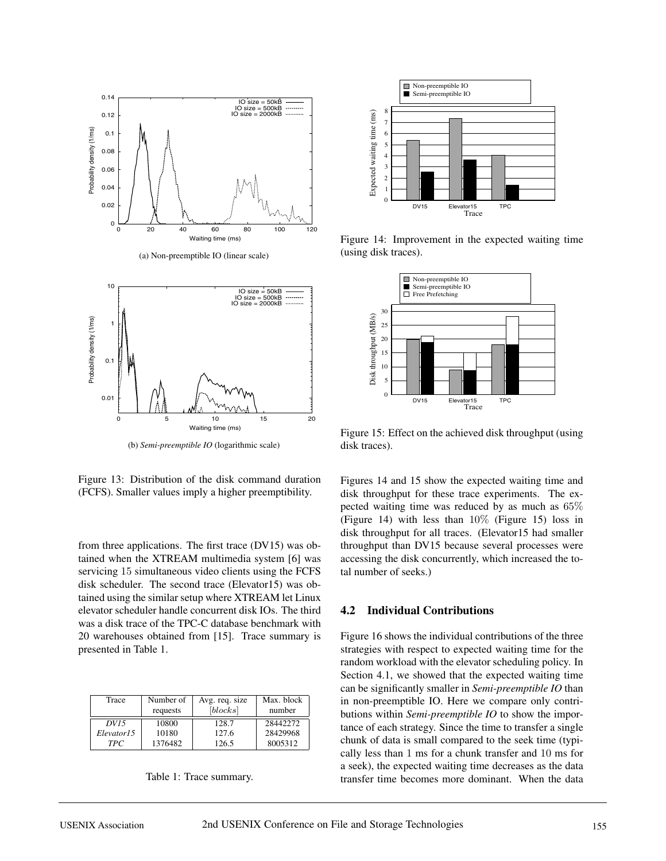

(b) *Semi-preemptible IO* (logarithmic scale)

Figure 13: Distribution of the disk command duration (FCFS). Smaller values imply a higher preemptibility.

from three applications. The first trace (DV15) was obtained when the XTREAM multimedia system [6] was servicing 15 simultaneous video clients using the FCFS disk scheduler. The second trace (Elevator15) was obtained using the similar setup where XTREAM let Linux elevator scheduler handle concurrent disk IOs. The third was a disk trace of the TPC-C database benchmark with 20 warehouses obtained from [15]. Trace summary is presented in Table 1.

| Trace      | Number of | Avg. req. size | Max. block |  |
|------------|-----------|----------------|------------|--|
|            | requests  | [blocks]       | number     |  |
| DV15       | 10800     | 128.7          | 28442272   |  |
| Elevator15 | 10180     | 127.6          | 28429968   |  |
| TPC.       | 1376482   | 126.5          | 8005312    |  |

| Table 1: Trace summary. |
|-------------------------|
|                         |



Figure 14: Improvement in the expected waiting time (using disk traces).



Figure 15: Effect on the achieved disk throughput (using disk traces).

Figures 14 and 15 show the expected waiting time and disk throughput for these trace experiments. The expected waiting time was reduced by as much as 65% (Figure 14) with less than 10% (Figure 15) loss in disk throughput for all traces. (Elevator15 had smaller throughput than DV15 because several processes were accessing the disk concurrently, which increased the total number of seeks.)

### **4.2 Individual Contributions**

Figure 16 shows the individual contributions of the three strategies with respect to expected waiting time for the random workload with the elevator scheduling policy. In Section 4.1, we showed that the expected waiting time can be significantly smaller in *Semi-preemptible IO* than in non-preemptible IO. Here we compare only contributions within *Semi-preemptible IO* to show the importance of each strategy. Since the time to transfer a single chunk of data is small compared to the seek time (typically less than 1 ms for a chunk transfer and 10 ms for a seek), the expected waiting time decreases as the data transfer time becomes more dominant. When the data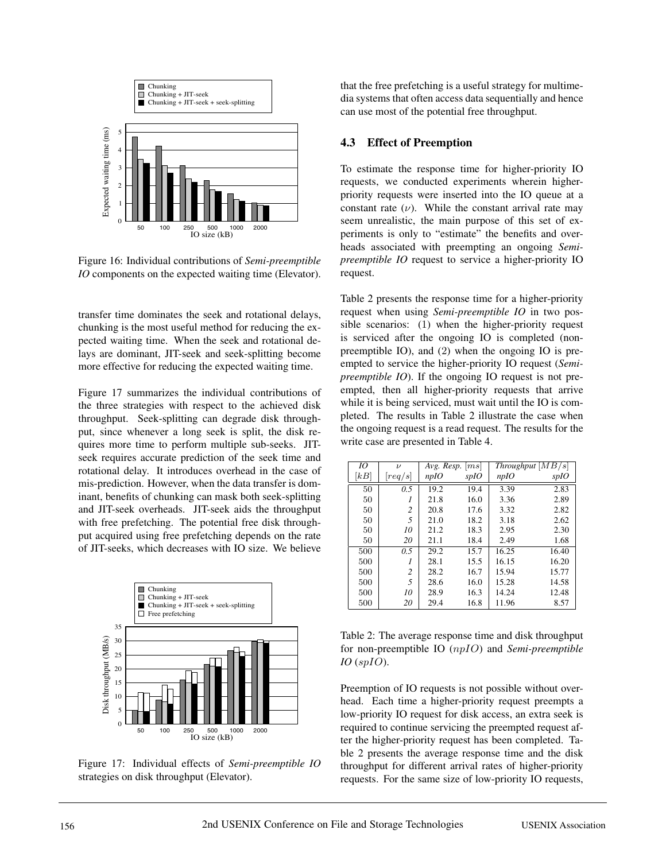

Figure 16: Individual contributions of *Semi-preemptible IO* components on the expected waiting time (Elevator).

transfer time dominates the seek and rotational delays, chunking is the most useful method for reducing the expected waiting time. When the seek and rotational delays are dominant, JIT-seek and seek-splitting become more effective for reducing the expected waiting time.

Figure 17 summarizes the individual contributions of the three strategies with respect to the achieved disk throughput. Seek-splitting can degrade disk throughput, since whenever a long seek is split, the disk requires more time to perform multiple sub-seeks. JITseek requires accurate prediction of the seek time and rotational delay. It introduces overhead in the case of mis-prediction. However, when the data transfer is dominant, benefits of chunking can mask both seek-splitting and JIT-seek overheads. JIT-seek aids the throughput with free prefetching. The potential free disk throughput acquired using free prefetching depends on the rate of JIT-seeks, which decreases with IO size. We believe



Figure 17: Individual effects of *Semi-preemptible IO* strategies on disk throughput (Elevator).

that the free prefetching is a useful strategy for multimedia systems that often access data sequentially and hence can use most of the potential free throughput.

### **4.3 Effect of Preemption**

To estimate the response time for higher-priority IO requests, we conducted experiments wherein higherpriority requests were inserted into the IO queue at a constant rate  $(\nu)$ . While the constant arrival rate may seem unrealistic, the main purpose of this set of experiments is only to "estimate" the benefits and overheads associated with preempting an ongoing *Semipreemptible IO* request to service a higher-priority IO request.

Table 2 presents the response time for a higher-priority request when using *Semi-preemptible IO* in two possible scenarios: (1) when the higher-priority request is serviced after the ongoing IO is completed (nonpreemptible IO), and (2) when the ongoing IO is preempted to service the higher-priority IO request (*Semipreemptible IO*). If the ongoing IO request is not preempted, then all higher-priority requests that arrive while it is being serviced, must wait until the IO is completed. The results in Table 2 illustrate the case when the ongoing request is a read request. The results for the write case are presented in Table 4.

| IO   | $\boldsymbol{\nu}$ |      | Avg. Resp. $ ms $ |       | Throughput [MB/s] |
|------|--------------------|------|-------------------|-------|-------------------|
| [kB] | req/s              | npIO | spIO              | npIO  | spIO              |
| 50   | 0.5                | 19.2 | 19.4              | 3.39  | 2.83              |
| 50   | 1                  | 21.8 | 16.0              | 3.36  | 2.89              |
| 50   | 2                  | 20.8 | 17.6              | 3.32  | 2.82              |
| 50   | 5                  | 21.0 | 18.2              | 3.18  | 2.62              |
| 50   | 10                 | 21.2 | 18.3              | 2.95  | 2.30              |
| 50   | 20                 | 21.1 | 18.4              | 2.49  | 1.68              |
| 500  | 0.5                | 29.2 | 15.7              | 16.25 | 16.40             |
| 500  | $\overline{I}$     | 28.1 | 15.5              | 16.15 | 16.20             |
| 500  | $\overline{c}$     | 28.2 | 16.7              | 15.94 | 15.77             |
| 500  | 5                  | 28.6 | 16.0              | 15.28 | 14.58             |
| 500  | 10                 | 28.9 | 16.3              | 14.24 | 12.48             |
| 500  | 20                 | 29.4 | 16.8              | 11.96 | 8.57              |

Table 2: The average response time and disk throughput for non-preemptible IO (npIO) and *Semi-preemptible IO* (spIO).

Preemption of IO requests is not possible without overhead. Each time a higher-priority request preempts a low-priority IO request for disk access, an extra seek is required to continue servicing the preempted request after the higher-priority request has been completed. Table 2 presents the average response time and the disk throughput for different arrival rates of higher-priority requests. For the same size of low-priority IO requests,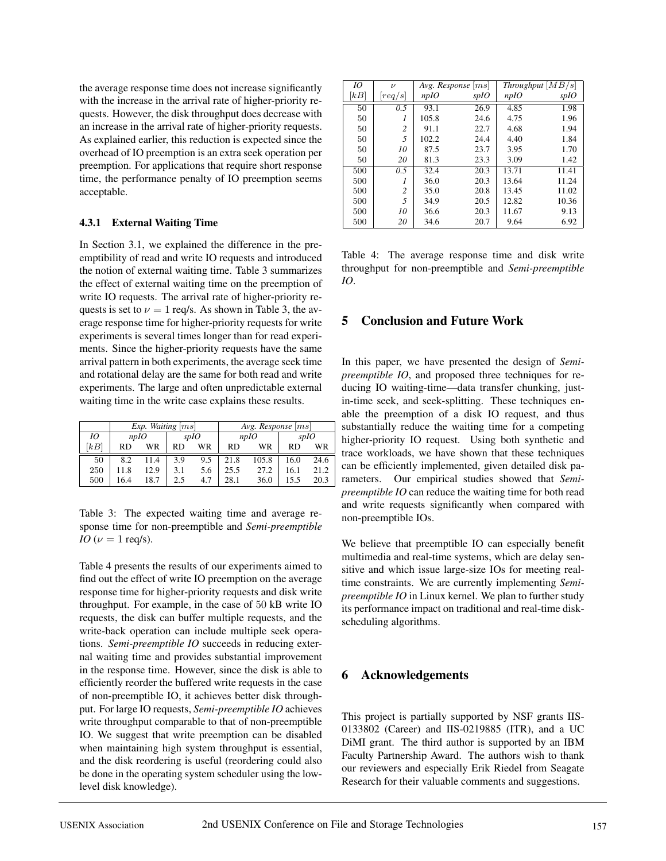the average response time does not increase significantly with the increase in the arrival rate of higher-priority requests. However, the disk throughput does decrease with an increase in the arrival rate of higher-priority requests. As explained earlier, this reduction is expected since the overhead of IO preemption is an extra seek operation per preemption. For applications that require short response time, the performance penalty of IO preemption seems acceptable.

### **4.3.1 External Waiting Time**

In Section 3.1, we explained the difference in the preemptibility of read and write IO requests and introduced the notion of external waiting time. Table 3 summarizes the effect of external waiting time on the preemption of write IO requests. The arrival rate of higher-priority requests is set to  $\nu = 1$  req/s. As shown in Table 3, the average response time for higher-priority requests for write experiments is several times longer than for read experiments. Since the higher-priority requests have the same arrival pattern in both experiments, the average seek time and rotational delay are the same for both read and write experiments. The large and often unpredictable external waiting time in the write case explains these results.

|      | Exp. Waiting $[ms]$ |      |      |     | Avg. Response $ ms $ |       |      |      |
|------|---------------------|------|------|-----|----------------------|-------|------|------|
| 10   |                     | nplO | spIO |     | nplO                 |       | spIO |      |
| [kB] | RD.                 | WR   | RD   | WR  | RD                   | WR    | RD   | WR   |
| 50   | 8.2                 | 11.4 | 3.9  | 9.5 | 21.8                 | 105.8 | 16.0 | 24.6 |
| 250  | 11.8                | 12.9 | 3.1  | 5.6 | 25.5                 | 27.2  | 16.1 | 21.2 |
| 500  | 16.4                | 18.7 | 2.5  | 4.7 | 28.1                 | 36.0  | 15.5 | 20.3 |

Table 3: The expected waiting time and average response time for non-preemptible and *Semi-preemptible IO* ( $\nu = 1$  req/s).

Table 4 presents the results of our experiments aimed to find out the effect of write IO preemption on the average response time for higher-priority requests and disk write throughput. For example, in the case of 50 kB write IO requests, the disk can buffer multiple requests, and the write-back operation can include multiple seek operations. *Semi-preemptible IO* succeeds in reducing external waiting time and provides substantial improvement in the response time. However, since the disk is able to efficiently reorder the buffered write requests in the case of non-preemptible IO, it achieves better disk throughput. For large IO requests, *Semi-preemptible IO* achieves write throughput comparable to that of non-preemptible IO. We suggest that write preemption can be disabled when maintaining high system throughput is essential, and the disk reordering is useful (reordering could also be done in the operating system scheduler using the lowlevel disk knowledge).

| IO   | $\boldsymbol{\nu}$ |         | Avg. Response $ ms $ |       | $Throughput \vert MB/s \vert$ |
|------|--------------------|---------|----------------------|-------|-------------------------------|
| [kB] | req/s              | n p I O | spIO                 | npIO  | spIO                          |
| 50   | 0.5                | 93.1    | 26.9                 | 4.85  | 1.98                          |
| 50   | 1                  | 105.8   | 24.6                 | 4.75  | 1.96                          |
| 50   | 2                  | 91.1    | 22.7                 | 4.68  | 1.94                          |
| 50   | 5                  | 102.2   | 24.4                 | 4.40  | 1.84                          |
| 50   | 10                 | 87.5    | 23.7                 | 3.95  | 1.70                          |
| 50   | 20                 | 81.3    | 23.3                 | 3.09  | 1.42                          |
| 500  | 0.5                | 32.4    | 20.3                 | 13.71 | 11.41                         |
| 500  |                    | 36.0    | 20.3                 | 13.64 | 11.24                         |
| 500  | $\overline{c}$     | 35.0    | 20.8                 | 13.45 | 11.02                         |
| 500  | 5                  | 34.9    | 20.5                 | 12.82 | 10.36                         |
| 500  | 10                 | 36.6    | 20.3                 | 11.67 | 9.13                          |
| 500  | 20                 | 34.6    | 20.7                 | 9.64  | 6.92                          |

Table 4: The average response time and disk write throughput for non-preemptible and *Semi-preemptible IO*.

# **5 Conclusion and Future Work**

In this paper, we have presented the design of *Semipreemptible IO*, and proposed three techniques for reducing IO waiting-time—data transfer chunking, justin-time seek, and seek-splitting. These techniques enable the preemption of a disk IO request, and thus substantially reduce the waiting time for a competing higher-priority IO request. Using both synthetic and trace workloads, we have shown that these techniques can be efficiently implemented, given detailed disk parameters. Our empirical studies showed that *Semipreemptible IO* can reduce the waiting time for both read and write requests significantly when compared with non-preemptible IOs.

We believe that preemptible IO can especially benefit multimedia and real-time systems, which are delay sensitive and which issue large-size IOs for meeting realtime constraints. We are currently implementing *Semipreemptible IO* in Linux kernel. We plan to further study its performance impact on traditional and real-time diskscheduling algorithms.

# **6 Acknowledgements**

This project is partially supported by NSF grants IIS-0133802 (Career) and IIS-0219885 (ITR), and a UC DiMI grant. The third author is supported by an IBM Faculty Partnership Award. The authors wish to thank our reviewers and especially Erik Riedel from Seagate Research for their valuable comments and suggestions.